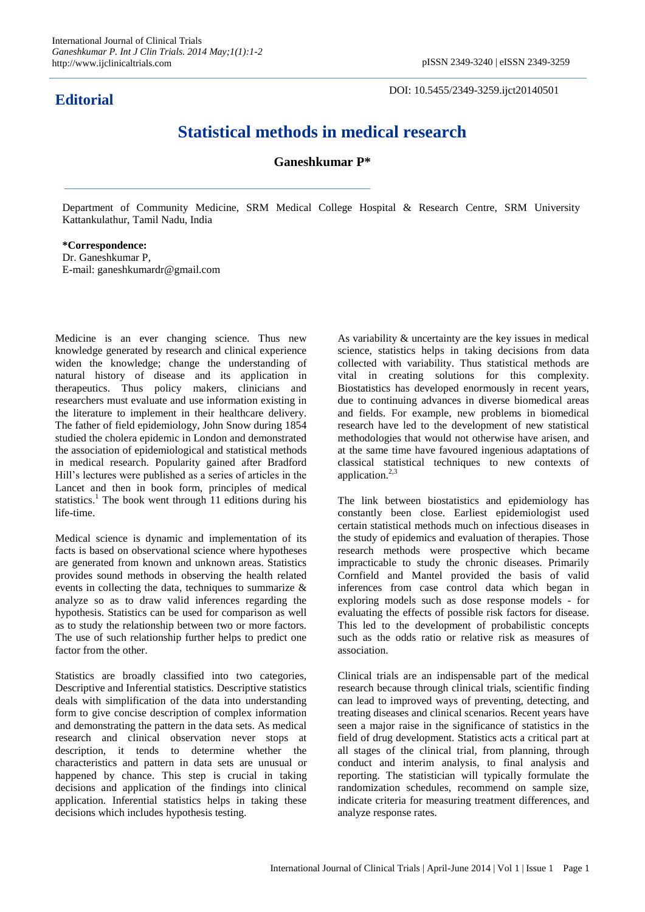## **Editorial**

DOI: 10.5455/2349-3259.ijct20140501

## **Statistical methods in medical research**

## **Ganeshkumar P\***

Department of Community Medicine, SRM Medical College Hospital & Research Centre, SRM University Kattankulathur, Tamil Nadu, India

**\*Correspondence:** Dr. Ganeshkumar P, E-mail: ganeshkumardr@gmail.com

Medicine is an ever changing science. Thus new knowledge generated by research and clinical experience widen the knowledge; change the understanding of natural history of disease and its application in therapeutics. Thus policy makers, clinicians and researchers must evaluate and use information existing in the literature to implement in their healthcare delivery. The father of field epidemiology, John Snow during 1854 studied the cholera epidemic in London and demonstrated the association of epidemiological and statistical methods in medical research. Popularity gained after Bradford Hill's lectures were published as a series of articles in the Lancet and then in book form, principles of medical statistics.<sup>1</sup> The book went through 11 editions during his life-time.

Medical science is dynamic and implementation of its facts is based on observational science where hypotheses are generated from known and unknown areas. Statistics provides sound methods in observing the health related events in collecting the data, techniques to summarize & analyze so as to draw valid inferences regarding the hypothesis. Statistics can be used for comparison as well as to study the relationship between two or more factors. The use of such relationship further helps to predict one factor from the other.

Statistics are broadly classified into two categories, Descriptive and Inferential statistics. Descriptive statistics deals with simplification of the data into understanding form to give concise description of complex information and demonstrating the pattern in the data sets. As medical research and clinical observation never stops at description, it tends to determine whether the characteristics and pattern in data sets are unusual or happened by chance. This step is crucial in taking decisions and application of the findings into clinical application. Inferential statistics helps in taking these decisions which includes hypothesis testing.

As variability & uncertainty are the key issues in medical science, statistics helps in taking decisions from data collected with variability. Thus statistical methods are vital in creating solutions for this complexity. Biostatistics has developed enormously in recent years, due to continuing advances in diverse biomedical areas and fields. For example, new problems in biomedical research have led to the development of new statistical methodologies that would not otherwise have arisen, and at the same time have favoured ingenious adaptations of classical statistical techniques to new contexts of application.<sup>2,3</sup>

The link between biostatistics and epidemiology has constantly been close. Earliest epidemiologist used certain statistical methods much on infectious diseases in the study of epidemics and evaluation of therapies. Those research methods were prospective which became impracticable to study the chronic diseases. Primarily Cornfield and Mantel provided the basis of valid inferences from case control data which began in exploring models such as dose response models - for evaluating the effects of possible risk factors for disease. This led to the development of probabilistic concepts such as the odds ratio or relative risk as measures of association.

Clinical trials are an indispensable part of the medical research because through clinical trials, scientific finding can lead to improved ways of preventing, detecting, and treating diseases and clinical scenarios. Recent years have seen a major raise in the significance of statistics in the field of drug development. Statistics acts a critical part at all stages of the clinical trial, from planning, through conduct and interim analysis, to final analysis and reporting. The statistician will typically formulate the randomization schedules, recommend on sample size, indicate criteria for measuring treatment differences, and analyze response rates.